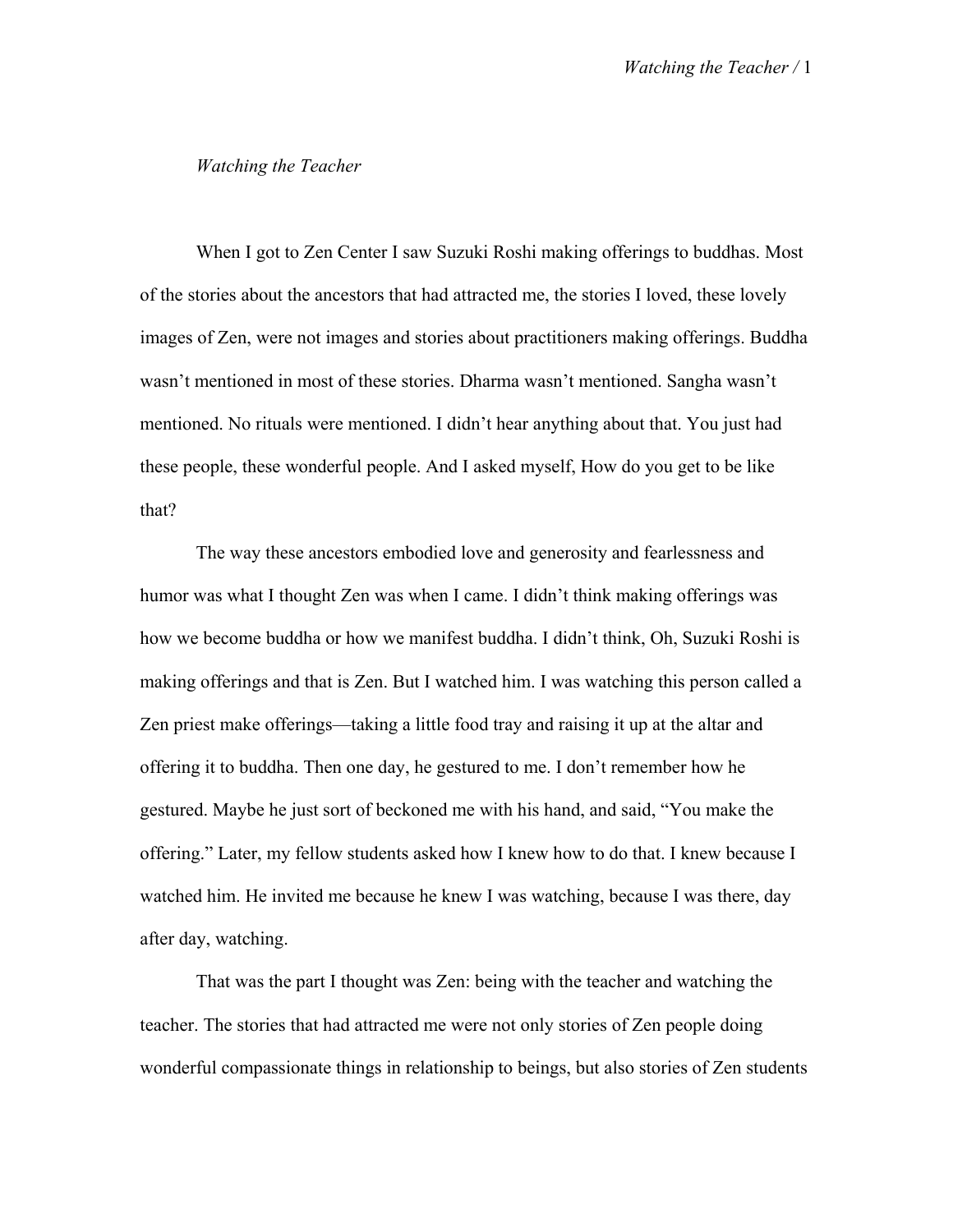## *Watching the Teacher*

When I got to Zen Center I saw Suzuki Roshi making offerings to buddhas. Most of the stories about the ancestors that had attracted me, the stories I loved, these lovely images of Zen, were not images and stories about practitioners making offerings. Buddha wasn't mentioned in most of these stories. Dharma wasn't mentioned. Sangha wasn't mentioned. No rituals were mentioned. I didn't hear anything about that. You just had these people, these wonderful people. And I asked myself, How do you get to be like that?

The way these ancestors embodied love and generosity and fearlessness and humor was what I thought Zen was when I came. I didn't think making offerings was how we become buddha or how we manifest buddha. I didn't think, Oh, Suzuki Roshi is making offerings and that is Zen. But I watched him. I was watching this person called a Zen priest make offerings—taking a little food tray and raising it up at the altar and offering it to buddha. Then one day, he gestured to me. I don't remember how he gestured. Maybe he just sort of beckoned me with his hand, and said, "You make the offering." Later, my fellow students asked how I knew how to do that. I knew because I watched him. He invited me because he knew I was watching, because I was there, day after day, watching.

That was the part I thought was Zen: being with the teacher and watching the teacher. The stories that had attracted me were not only stories of Zen people doing wonderful compassionate things in relationship to beings, but also stories of Zen students